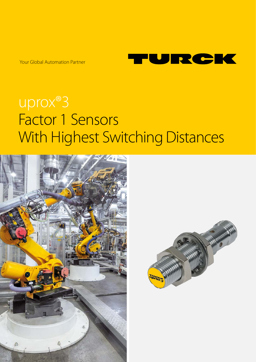Your Global Automation Partner



# uprox®3 Factor 1 Sensors With Highest Switching Distances



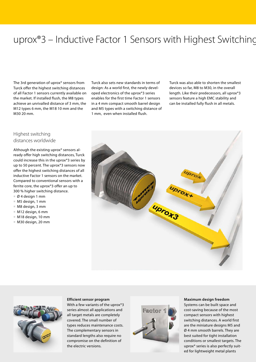# uprox<sup>®</sup>3 – Inductive Factor 1 Sensors with Highest Switching

The 3rd generation of uprox® sensors from Turck offer the highest switching distances of all Factor 1 sensors currently available on the market. If installed flush, the M8 types achieve an unrivalled distance of 3 mm, the M12 types 6 mm, the M18 10 mm and the M30 20 mm.

Turck also sets new standards in terms of design: As a world first, the newly developed electronics of the uprox®3 series enables for the first time Factor 1 sensors in a 4 mm compact smooth barrel design and M5 types with a switching distance of 1 mm, even when installed flush.

Turck was also able to shorten the smallest devices so far, M8 to M30, in the overall length. Like their predecessors, all uprox®3 sensors feature a high EMC stability and can be installed fully flush in all metals.

### Highest switching distances worldwide

Although the existing uprox® sensors already offer high switching distances, Turck could increase this in the uprox®3 series by up to 50 percent. The uprox®3 sensors now offer the highest switching distances of all inductive Factor 1 sensors on the market. Compared to conventional sensors with a ferrite core, the uprox®3 offer an up to 300 % higher switching distance.

- **■** Ø 4 design 1 mm
- **■** M5 design, 1 mm
- **■** M8 design, 3 mm
- **■** M12 design, 6 mm
- **■** M18 design, 10 mm
- **■** M30 design, 20 mm





#### **Efficient sensor program**

With a few variants of the uprox®3 series almost all applications and all target metals are completely covered. The small number of types reduces maintenance costs. The complementary sensors in standard lengths also require no compromise on the definition of the electric versions.



#### **Maximum design freedom**

Systems can be built space and cost-saving because of the most compact sensors with highest switching distances. A world first are the miniature designs M5 and Ø 4 mm smooth barrels. They are best suited for tight installation conditions or smallest targets. The uprox® series is also perfectly suited for lightweight metal plants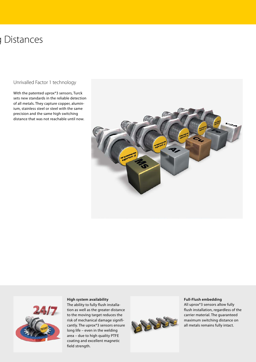# 1 Distances

Unrivalled Factor 1 technology

With the patented uprox®3 sensors, Turck sets new standards in the reliable detection of all metals. They capture copper, aluminium, stainless steel or steel with the same precision and the same high switching distance that was not reachable until now.





**High system availability**  The ability to fully flush installation as well as the greater distance to the moving target reduces the risk of mechanical damage significantly. The uprox®3 sensors ensure long life – even in the welding area – due to high quality PTFE coating and excellent magnetic field strength.



#### **Full-Flush embedding**

All uprox®3 sensors allow fully flush installation, regardless of the carrier material. The guaranteed maximum switching distance on all metals remains fully intact.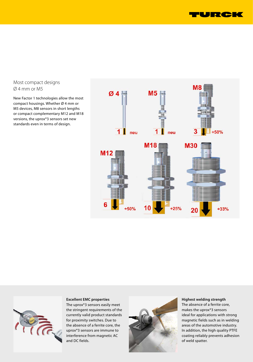

#### Most compact designs Ø 4 mm or M5

New Factor 1 technologies allow the most compact housings. Whether Ø 4 mm or M5 devices, M8 sensors in short lengths or compact complementary M12 and M18 versions, the uprox®3 sensors set new standards even in terms of design.





### **Excellent EMC properties**

The uprox®3 sensors easily meet the stringent requirements of the currently valid product standards for proximity switches. Due to the absence of a ferrite core, the uprox®3 sensors are immune to interference from magnetic AC and DC fields.



#### **Highest welding strength**  The absence of a ferrite core, makes the uprox®3 sensors ideal for applications with strong magnetic fields such as in welding areas of the automotive industry. In addition, the high quality PTFE coating reliably prevents adhesion of weld spatter.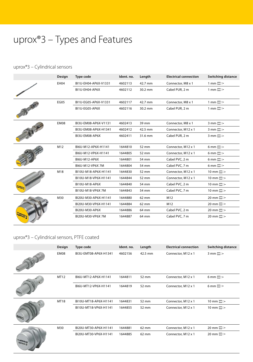# uprox®3 – Types and Features

### uprox®3 – Cylindrical sensors

|      | Design      | Type code            | Ident. no. | Length  | <b>Electrical connection</b> | <b>Switching distance</b>        |
|------|-------------|----------------------|------------|---------|------------------------------|----------------------------------|
|      | EH04        | BI1U-EH04-AP6X-V1331 | 4602113    | 42.7 mm | Connector, M8 x 1            | $1 \text{ mm}$                   |
|      |             | BI1U-EH04-AP6X       | 4602112    | 30.2 mm | Cabel PUR, 2 m               | $1 \text{ mm}$ $\longrightarrow$ |
|      | <b>EG05</b> | BI1U-EG05-AP6X-V1331 | 4602117    | 42.7 mm | Connector, M8 x 1            | $1 \text{ mm}$                   |
|      |             | BI1U-EG05-AP6X       | 4602116    | 30.2 mm | Cabel PUR, 2 m               | $1 \text{ mm}$                   |
|      | EM08        | BI3U-EM08-AP6X-V1131 | 4602413    | 39 mm   | Connector, M8 x 1            | $3 \text{ mm}$                   |
|      |             | BI3U-EM08-AP6X-H1341 | 4602412    | 42.5 mm | Connector, M12 x 1           | $3 \text{ mm}$ $\longrightarrow$ |
|      |             | BI3U-EM08-AP6X       | 4602411    | 31.6 mm | Cabel PUR, 2 m               | $3 \text{ mm}$ $\longrightarrow$ |
|      | M12         | BI6U-M12-AP6X-H1141  | 1644810    | 52 mm   | Connector, M12 x 1           | $6 \text{ mm}$                   |
|      |             | BI6U-M12-VP6X-H1141  | 1644805    | 52 mm   | Connector, M12 x 1           | $6 \text{ mm}$                   |
|      |             | BI6U-M12-AP6X        | 1644801    | 54 mm   | Cabel PVC, 2 m               | $6 \text{ mm}$ $\longrightarrow$ |
|      |             | BI6U-M12-VP6X 7M     | 1644804    | 54 mm   | Cabel PVC, 7 m               | $6 \text{ mm}$ $\longrightarrow$ |
|      | M18         | BI10U-M18-AP6X-H1141 | 1644830    | 52 mm   | Connector, M12 x 1           | $10 \text{ mm}$                  |
|      |             | BI10U-M18-VP6X-H1141 | 1644844    | 52 mm   | Connector, M12 x 1           | $10 \text{ mm}$                  |
|      |             | BI10U-M18-AP6X       | 1644840    | 54 mm   | Cabel PVC, 2 m               | $10 \text{ mm}$                  |
|      |             | BI10U-M18-VP6X 7M    | 1644843    | 54 mm   | Cabel PVC, 7 m               | $10 \text{ mm}$                  |
| FREE | M30         | BI20U-M30-AP6X-H1141 | 1644880    | 62 mm   | M12                          | $20 \text{ mm}$                  |
|      |             | BI20U-M30-VP6X-H1141 | 1644884    | 62 mm   | M12                          | $20 \text{ mm}$                  |
|      |             | BI20U-M30-AP6X       | 1644886    | 64 mm   | Cabel PVC, 2 m               | $20 \text{ mm}$                  |
|      |             | BI20U-M30-VP6X 7M    | 1644887    | 64 mm   | Cabel PVC, 7 m               | $20 \text{ mm}$                  |

### uprox®3 – Cylindrical sensors, PTFE coated

|                | Design | Type code             | Ident. no. | Length  | <b>Electrical connection</b> | <b>Switching distance</b> |
|----------------|--------|-----------------------|------------|---------|------------------------------|---------------------------|
|                | EM08   | BI3U-EMT08-AP6X-H1341 | 4602156    | 42.5 mm | Connector, M12 x 1           | $3 \text{ mm}$            |
|                | MT12   | BI6U-MT12-AP6X-H1141  | 1644811    | 52 mm   | Connector, M12 x 1           | $6 \text{ mm}$            |
|                |        | BI6U-MT12-VP6X-H1141  | 1644819    | 52 mm   | Connector, M12 x 1           | $6 \text{ mm}$            |
|                | MT18   | BI10U-MT18-AP6X-H1141 | 1644831    | 52 mm   | Connector, M12 x 1           | $10 \text{ mm}$           |
|                |        | BI10U-MT18-VP6X-H1141 | 1644855    | 52 mm   | Connector, M12 x 1           | $10 \text{ mm}$           |
| <b>URTOX 3</b> | M30    | BI20U-MT30-AP6X-H1141 | 1644881    | 62 mm   | Connector, M12 x 1           | $20 \text{ mm}$           |
|                |        | BI20U-MT30-VP6X-H1141 | 1644885    | 62 mm   | Connector, M12 x 1           | $20 \text{ mm}$           |